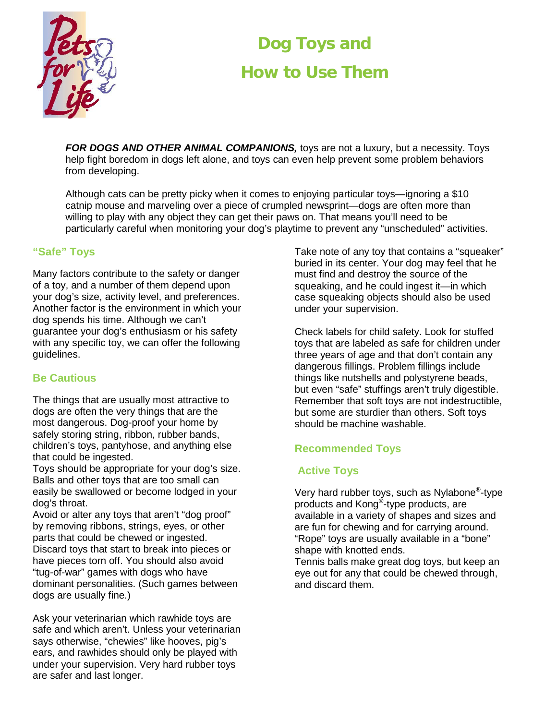

# **Dog Toys and How to Use Them**

*FOR DOGS AND OTHER ANIMAL COMPANIONS,* toys are not a luxury, but a necessity. Toys help fight boredom in dogs left alone, and toys can even help prevent some problem behaviors from developing.

Although cats can be pretty picky when it comes to enjoying particular toys—ignoring a \$10 catnip mouse and marveling over a piece of crumpled newsprint—dogs are often more than willing to play with any object they can get their paws on. That means you'll need to be particularly careful when monitoring your dog's playtime to prevent any "unscheduled" activities.

## **"Safe" Toys**

Many factors contribute to the safety or danger of a toy, and a number of them depend upon your dog's size, activity level, and preferences. Another factor is the environment in which your dog spends his time. Although we can't guarantee your dog's enthusiasm or his safety with any specific toy, we can offer the following guidelines.

## **Be Cautious**

The things that are usually most attractive to dogs are often the very things that are the most dangerous. Dog-proof your home by safely storing string, ribbon, rubber bands, children's toys, pantyhose, and anything else that could be ingested.

Toys should be appropriate for your dog's size. Balls and other toys that are too small can easily be swallowed or become lodged in your dog's throat.

Avoid or alter any toys that aren't "dog proof" by removing ribbons, strings, eyes, or other parts that could be chewed or ingested. Discard toys that start to break into pieces or have pieces torn off. You should also avoid "tug-of-war" games with dogs who have dominant personalities. (Such games between dogs are usually fine.)

Ask your veterinarian which rawhide toys are safe and which aren't. Unless your veterinarian says otherwise, "chewies" like hooves, pig's ears, and rawhides should only be played with under your supervision. Very hard rubber toys are safer and last longer.

Take note of any toy that contains a "squeaker" buried in its center. Your dog may feel that he must find and destroy the source of the squeaking, and he could ingest it—in which case squeaking objects should also be used under your supervision.

Check labels for child safety. Look for stuffed toys that are labeled as safe for children under three years of age and that don't contain any dangerous fillings. Problem fillings include things like nutshells and polystyrene beads, but even "safe" stuffings aren't truly digestible. Remember that soft toys are not indestructible, but some are sturdier than others. Soft toys should be machine washable.

## **Recommended Toys**

## **Active Toys**

Very hard rubber toys, such as Nylabone®-type products and Kong®-type products, are available in a variety of shapes and sizes and are fun for chewing and for carrying around. "Rope" toys are usually available in a "bone" shape with knotted ends.

Tennis balls make great dog toys, but keep an eye out for any that could be chewed through, and discard them.